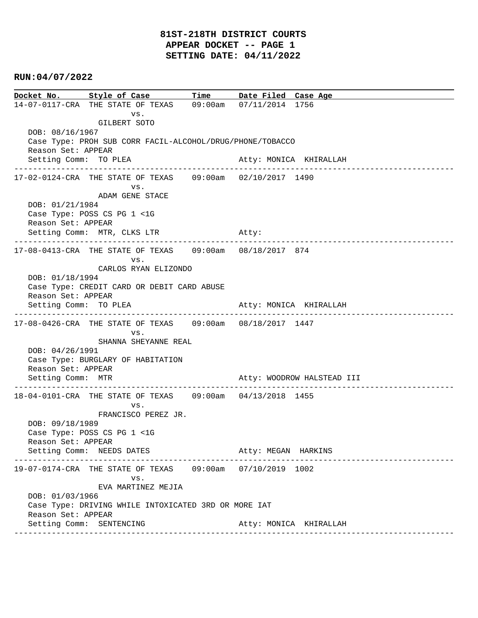# **81ST-218TH DISTRICT COURTS APPEAR DOCKET -- PAGE 1 SETTING DATE: 04/11/2022**

#### **RUN:04/07/2022**

**Docket No. Style of Case Time Date Filed Case Age**  14-07-0117-CRA THE STATE OF TEXAS 09:00am 07/11/2014 1756 vs. GILBERT SOTO DOB: 08/16/1967 Case Type: PROH SUB CORR FACIL-ALCOHOL/DRUG/PHONE/TOBACCO Reason Set: APPEAR Setting Comm: TO PLEA Atty: MONICA KHIRALLAH ---------------------------------------------------------------------------------------------- 17-02-0124-CRA THE STATE OF TEXAS 09:00am 02/10/2017 1490 vs. ADAM GENE STACE DOB: 01/21/1984 Case Type: POSS CS PG 1 <1G Reason Set: APPEAR Setting Comm: MTR, CLKS LTR Atty: ---------------------------------------------------------------------------------------------- 17-08-0413-CRA THE STATE OF TEXAS 09:00am 08/18/2017 874 vs. CARLOS RYAN ELIZONDO DOB: 01/18/1994 Case Type: CREDIT CARD OR DEBIT CARD ABUSE Reason Set: APPEAR Setting Comm: TO PLEA Atty: MONICA KHIRALLAH ---------------------------------------------------------------------------------------------- 17-08-0426-CRA THE STATE OF TEXAS 09:00am 08/18/2017 1447 vs. SHANNA SHEYANNE REAL DOB: 04/26/1991 Case Type: BURGLARY OF HABITATION Reason Set: APPEAR Setting Comm: MTR Atty: WOODROW HALSTEAD III ---------------------------------------------------------------------------------------------- 18-04-0101-CRA THE STATE OF TEXAS 09:00am 04/13/2018 1455 vs. FRANCISCO PEREZ JR. DOB: 09/18/1989 Case Type: POSS CS PG 1 <1G Reason Set: APPEAR Setting Comm: NEEDS DATES Atty: MEGAN HARKINS ---------------------------------------------------------------------------------------------- 19-07-0174-CRA THE STATE OF TEXAS 09:00am 07/10/2019 1002 vs. EVA MARTINEZ MEJIA DOB: 01/03/1966 Case Type: DRIVING WHILE INTOXICATED 3RD OR MORE IAT Reason Set: APPEAR Setting Comm: SENTENCING atty: MONICA KHIRALLAH ----------------------------------------------------------------------------------------------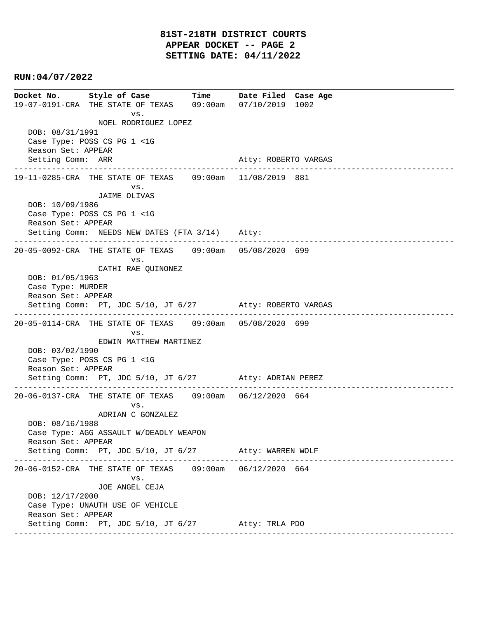**Docket No. Style of Case Time Date Filed Case Age**  19-07-0191-CRA THE STATE OF TEXAS 09:00am 07/10/2019 1002 vs. NOEL RODRIGUEZ LOPEZ DOB: 08/31/1991 Case Type: POSS CS PG 1 <1G Reason Set: APPEAR Setting Comm: ARR Atty: ROBERTO VARGAS ---------------------------------------------------------------------------------------------- 19-11-0285-CRA THE STATE OF TEXAS 09:00am 11/08/2019 881 vs. JAIME OLIVAS DOB: 10/09/1986 Case Type: POSS CS PG 1 <1G Reason Set: APPEAR Setting Comm: NEEDS NEW DATES (FTA 3/14) Atty: ---------------------------------------------------------------------------------------------- 20-05-0092-CRA THE STATE OF TEXAS 09:00am 05/08/2020 699 vs. CATHI RAE QUINONEZ DOB: 01/05/1963 Case Type: MURDER Reason Set: APPEAR Setting Comm: PT, JDC 5/10, JT 6/27 Atty: ROBERTO VARGAS ---------------------------------------------------------------------------------------------- 20-05-0114-CRA THE STATE OF TEXAS 09:00am 05/08/2020 699 vs. EDWIN MATTHEW MARTINEZ DOB: 03/02/1990 Case Type: POSS CS PG 1 <1G Reason Set: APPEAR Setting Comm: PT, JDC 5/10, JT 6/27 Atty: ADRIAN PEREZ ---------------------------------------------------------------------------------------------- 20-06-0137-CRA THE STATE OF TEXAS 09:00am 06/12/2020 664 vs. ADRIAN C GONZALEZ DOB: 08/16/1988 Case Type: AGG ASSAULT W/DEADLY WEAPON Reason Set: APPEAR Setting Comm: PT, JDC 5/10, JT 6/27 Atty: WARREN WOLF ---------------------------------------------------------------------------------------------- 20-06-0152-CRA THE STATE OF TEXAS 09:00am 06/12/2020 664 vs. JOE ANGEL CEJA DOB: 12/17/2000 Case Type: UNAUTH USE OF VEHICLE Reason Set: APPEAR Setting Comm: PT, JDC 5/10, JT 6/27 Atty: TRLA PDO ----------------------------------------------------------------------------------------------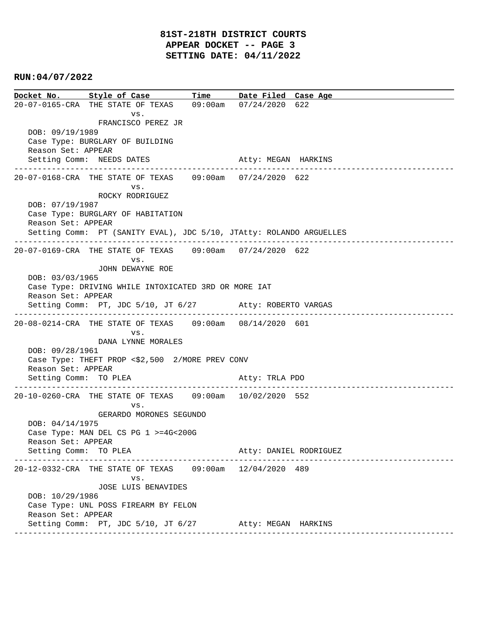**Docket No. Style of Case Time Date Filed Case Age**  20-07-0165-CRA THE STATE OF TEXAS 09:00am 07/24/2020 622 vs. FRANCISCO PEREZ JR DOB: 09/19/1989 Case Type: BURGLARY OF BUILDING Reason Set: APPEAR Setting Comm: NEEDS DATES Atty: MEGAN HARKINS ---------------------------------------------------------------------------------------------- 20-07-0168-CRA THE STATE OF TEXAS 09:00am 07/24/2020 622 vs. ROCKY RODRIGUEZ DOB: 07/19/1987 Case Type: BURGLARY OF HABITATION Reason Set: APPEAR Setting Comm: PT (SANITY EVAL), JDC 5/10, JTAtty: ROLANDO ARGUELLES ---------------------------------------------------------------------------------------------- 20-07-0169-CRA THE STATE OF TEXAS 09:00am 07/24/2020 622 vs. JOHN DEWAYNE ROE DOB: 03/03/1965 Case Type: DRIVING WHILE INTOXICATED 3RD OR MORE IAT Reason Set: APPEAR Setting Comm: PT, JDC 5/10, JT 6/27 Atty: ROBERTO VARGAS ---------------------------------------------------------------------------------------------- 20-08-0214-CRA THE STATE OF TEXAS 09:00am 08/14/2020 601 vs. DANA LYNNE MORALES DOB: 09/28/1961 Case Type: THEFT PROP <\$2,500 2/MORE PREV CONV Reason Set: APPEAR Setting Comm: TO PLEA Atty: TRLA PDO ---------------------------------------------------------------------------------------------- 20-10-0260-CRA THE STATE OF TEXAS 09:00am 10/02/2020 552 vs. GERARDO MORONES SEGUNDO DOB: 04/14/1975 Case Type: MAN DEL CS PG 1 >=4G<200G Reason Set: APPEAR Setting Comm: TO PLEA Atty: DANIEL RODRIGUEZ ---------------------------------------------------------------------------------------------- 20-12-0332-CRA THE STATE OF TEXAS 09:00am 12/04/2020 489 vs. JOSE LUIS BENAVIDES DOB: 10/29/1986 Case Type: UNL POSS FIREARM BY FELON Reason Set: APPEAR Setting Comm: PT, JDC 5/10, JT 6/27 Atty: MEGAN HARKINS ----------------------------------------------------------------------------------------------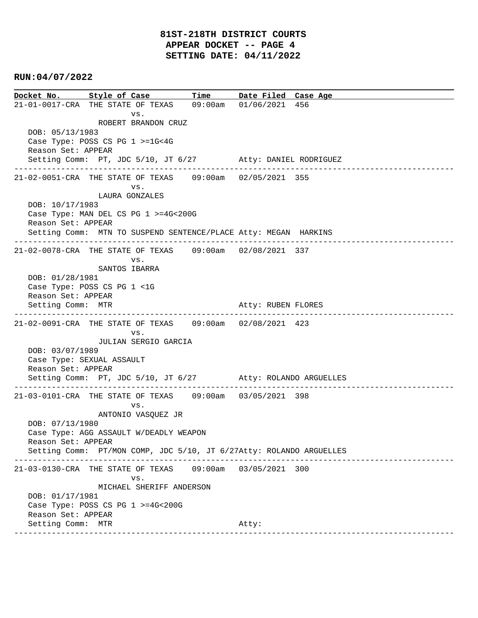**Docket No. Style of Case Time Date Filed Case Age**  21-01-0017-CRA THE STATE OF TEXAS 09:00am 01/06/2021 456 vs. ROBERT BRANDON CRUZ DOB: 05/13/1983 Case Type: POSS CS PG 1 >=1G<4G Reason Set: APPEAR Setting Comm: PT, JDC 5/10, JT 6/27 Atty: DANIEL RODRIGUEZ ---------------------------------------------------------------------------------------------- 21-02-0051-CRA THE STATE OF TEXAS 09:00am 02/05/2021 355 vs. LAURA GONZALES DOB: 10/17/1983 Case Type: MAN DEL CS PG 1 >=4G<200G Reason Set: APPEAR Setting Comm: MTN TO SUSPEND SENTENCE/PLACE Atty: MEGAN HARKINS ---------------------------------------------------------------------------------------------- 21-02-0078-CRA THE STATE OF TEXAS 09:00am 02/08/2021 337 vs. SANTOS IBARRA DOB: 01/28/1981 Case Type: POSS CS PG 1 <1G Reason Set: APPEAR Setting Comm: MTR Atty: RUBEN FLORES ---------------------------------------------------------------------------------------------- 21-02-0091-CRA THE STATE OF TEXAS 09:00am 02/08/2021 423 vs. JULIAN SERGIO GARCIA DOB: 03/07/1989 Case Type: SEXUAL ASSAULT Reason Set: APPEAR Setting Comm: PT, JDC 5/10, JT 6/27 Atty: ROLANDO ARGUELLES ---------------------------------------------------------------------------------------------- 21-03-0101-CRA THE STATE OF TEXAS 09:00am 03/05/2021 398 vs. ANTONIO VASQUEZ JR DOB: 07/13/1980 Case Type: AGG ASSAULT W/DEADLY WEAPON Reason Set: APPEAR Setting Comm: PT/MON COMP, JDC 5/10, JT 6/27Atty: ROLANDO ARGUELLES ---------------------------------------------------------------------------------------------- 21-03-0130-CRA THE STATE OF TEXAS 09:00am 03/05/2021 300 vs. MICHAEL SHERIFF ANDERSON DOB: 01/17/1981 Case Type: POSS CS PG 1 >=4G<200G Reason Set: APPEAR Setting Comm: MTR Atty: ----------------------------------------------------------------------------------------------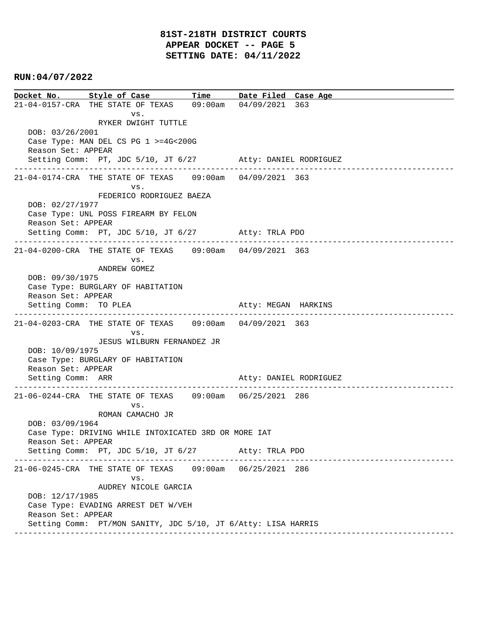**Docket No. Style of Case Time Date Filed Case Age**  21-04-0157-CRA THE STATE OF TEXAS 09:00am 04/09/2021 363 vs. RYKER DWIGHT TUTTLE DOB: 03/26/2001 Case Type: MAN DEL CS PG 1 >=4G<200G Reason Set: APPEAR Setting Comm: PT, JDC 5/10, JT 6/27 Atty: DANIEL RODRIGUEZ ---------------------------------------------------------------------------------------------- 21-04-0174-CRA THE STATE OF TEXAS 09:00am 04/09/2021 363 vs. FEDERICO RODRIGUEZ BAEZA DOB: 02/27/1977 Case Type: UNL POSS FIREARM BY FELON Reason Set: APPEAR Setting Comm: PT, JDC 5/10, JT 6/27 Atty: TRLA PDO ---------------------------------------------------------------------------------------------- 21-04-0200-CRA THE STATE OF TEXAS 09:00am 04/09/2021 363 vs. ANDREW GOMEZ DOB: 09/30/1975 Case Type: BURGLARY OF HABITATION Reason Set: APPEAR Setting Comm: TO PLEA Atty: MEGAN HARKINS ---------------------------------------------------------------------------------------------- 21-04-0203-CRA THE STATE OF TEXAS 09:00am 04/09/2021 363 vs. JESUS WILBURN FERNANDEZ JR DOB: 10/09/1975 Case Type: BURGLARY OF HABITATION Reason Set: APPEAR Setting Comm: ARR Atty: DANIEL RODRIGUEZ ---------------------------------------------------------------------------------------------- 21-06-0244-CRA THE STATE OF TEXAS 09:00am 06/25/2021 286 vs. ROMAN CAMACHO JR DOB: 03/09/1964 Case Type: DRIVING WHILE INTOXICATED 3RD OR MORE IAT Reason Set: APPEAR Setting Comm: PT, JDC 5/10, JT 6/27 Atty: TRLA PDO ---------------------------------------------------------------------------------------------- 21-06-0245-CRA THE STATE OF TEXAS 09:00am 06/25/2021 286 vs. AUDREY NICOLE GARCIA DOB: 12/17/1985 Case Type: EVADING ARREST DET W/VEH Reason Set: APPEAR Setting Comm: PT/MON SANITY, JDC 5/10, JT 6/Atty: LISA HARRIS ----------------------------------------------------------------------------------------------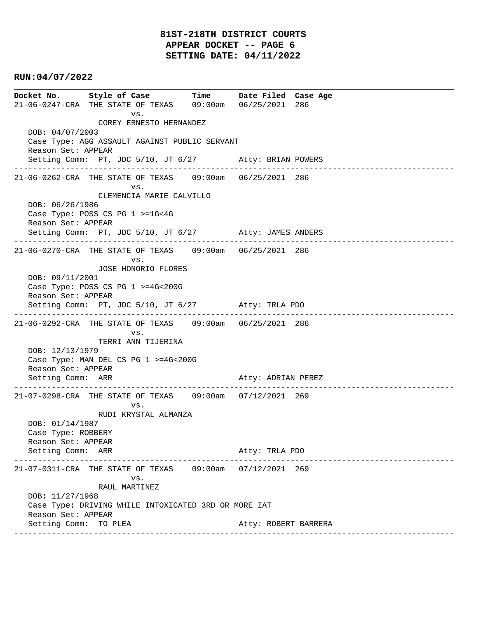# **81ST-218TH DISTRICT COURTS APPEAR DOCKET -- PAGE 6 SETTING DATE: 04/11/2022**

## **RUN:04/07/2022**

**Docket No. Style of Case Time Date Filed Case Age**  21-06-0247-CRA THE STATE OF TEXAS 09:00am 06/25/2021 286 vs. COREY ERNESTO HERNANDEZ DOB: 04/07/2003 Case Type: AGG ASSAULT AGAINST PUBLIC SERVANT Reason Set: APPEAR Setting Comm: PT, JDC 5/10, JT 6/27 Atty: BRIAN POWERS ---------------------------------------------------------------------------------------------- 21-06-0262-CRA THE STATE OF TEXAS 09:00am 06/25/2021 286 vs. CLEMENCIA MARIE CALVILLO DOB: 06/26/1986 Case Type: POSS CS PG 1 >=1G<4G Reason Set: APPEAR Setting Comm: PT, JDC 5/10, JT 6/27 Atty: JAMES ANDERS ---------------------------------------------------------------------------------------------- 21-06-0270-CRA THE STATE OF TEXAS 09:00am 06/25/2021 286 vs. JOSE HONORIO FLORES DOB: 09/11/2001 Case Type: POSS CS PG 1 >=4G<200G Reason Set: APPEAR Setting Comm: PT, JDC 5/10, JT 6/27 Atty: TRLA PDO ---------------------------------------------------------------------------------------------- 21-06-0292-CRA THE STATE OF TEXAS 09:00am 06/25/2021 286 vs. TERRI ANN TIJERINA DOB: 12/13/1979 Case Type: MAN DEL CS PG 1 >=4G<200G Reason Set: APPEAR Setting Comm: ARR Atty: ADRIAN PEREZ ---------------------------------------------------------------------------------------------- 21-07-0298-CRA THE STATE OF TEXAS 09:00am 07/12/2021 269 vs. RUDI KRYSTAL ALMANZA DOB: 01/14/1987 Case Type: ROBBERY Reason Set: APPEAR Setting Comm: ARR Atty: TRLA PDO ---------------------------------------------------------------------------------------------- 21-07-0311-CRA THE STATE OF TEXAS 09:00am 07/12/2021 269 vs. RAUL MARTINEZ DOB: 11/27/1968 Case Type: DRIVING WHILE INTOXICATED 3RD OR MORE IAT Reason Set: APPEAR Setting Comm: TO PLEA Atty: ROBERT BARRERA ----------------------------------------------------------------------------------------------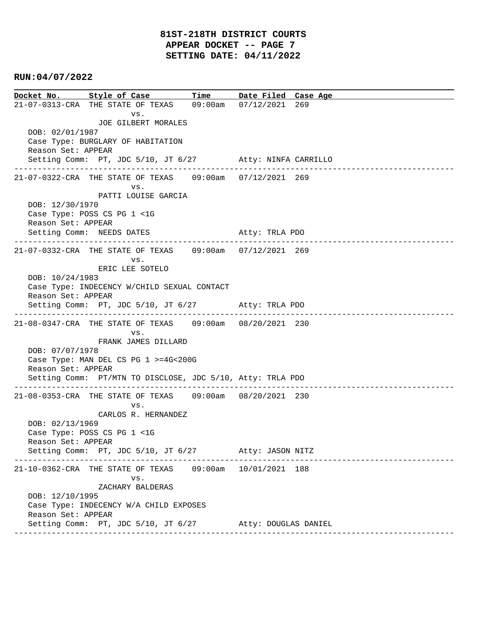**Docket No. Style of Case Time Date Filed Case Age**  21-07-0313-CRA THE STATE OF TEXAS 09:00am 07/12/2021 269 vs. JOE GILBERT MORALES DOB: 02/01/1987 Case Type: BURGLARY OF HABITATION Reason Set: APPEAR Setting Comm: PT, JDC 5/10, JT 6/27 Atty: NINFA CARRILLO ---------------------------------------------------------------------------------------------- 21-07-0322-CRA THE STATE OF TEXAS 09:00am 07/12/2021 269 vs. PATTI LOUISE GARCIA DOB: 12/30/1970 Case Type: POSS CS PG 1 <1G Reason Set: APPEAR Setting Comm: NEEDS DATES Atty: TRLA PDO ---------------------------------------------------------------------------------------------- 21-07-0332-CRA THE STATE OF TEXAS 09:00am 07/12/2021 269 vs. ERIC LEE SOTELO DOB: 10/24/1983 Case Type: INDECENCY W/CHILD SEXUAL CONTACT Reason Set: APPEAR Setting Comm: PT, JDC 5/10, JT 6/27 Atty: TRLA PDO ---------------------------------------------------------------------------------------------- 21-08-0347-CRA THE STATE OF TEXAS 09:00am 08/20/2021 230 vs. FRANK JAMES DILLARD DOB: 07/07/1978 Case Type: MAN DEL CS PG 1 >=4G<200G Reason Set: APPEAR Setting Comm: PT/MTN TO DISCLOSE, JDC 5/10, Atty: TRLA PDO ---------------------------------------------------------------------------------------------- 21-08-0353-CRA THE STATE OF TEXAS 09:00am 08/20/2021 230 vs. CARLOS R. HERNANDEZ DOB: 02/13/1969 Case Type: POSS CS PG 1 <1G Reason Set: APPEAR Setting Comm: PT, JDC 5/10, JT 6/27 Atty: JASON NITZ ---------------------------------------------------------------------------------------------- 21-10-0362-CRA THE STATE OF TEXAS 09:00am 10/01/2021 188 vs. ZACHARY BALDERAS DOB: 12/10/1995 Case Type: INDECENCY W/A CHILD EXPOSES Reason Set: APPEAR Setting Comm: PT, JDC 5/10, JT 6/27 Atty: DOUGLAS DANIEL ----------------------------------------------------------------------------------------------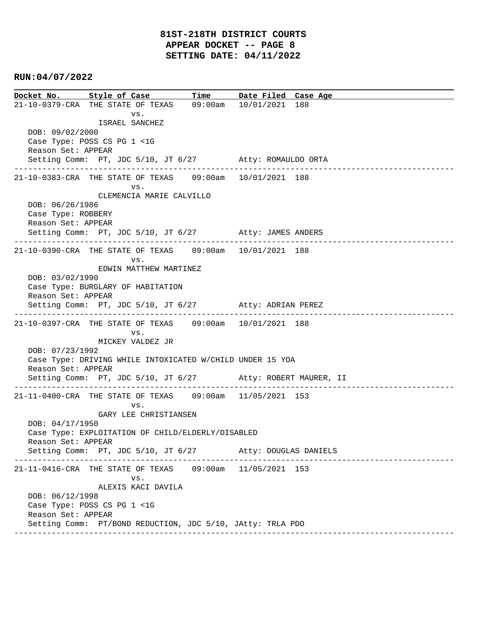**Docket No. Style of Case Time Date Filed Case Age**  21-10-0379-CRA THE STATE OF TEXAS 09:00am 10/01/2021 188 vs. ISRAEL SANCHEZ DOB: 09/02/2000 Case Type: POSS CS PG 1 <1G Reason Set: APPEAR Setting Comm: PT, JDC 5/10, JT 6/27 Atty: ROMAULDO ORTA ---------------------------------------------------------------------------------------------- 21-10-0383-CRA THE STATE OF TEXAS 09:00am 10/01/2021 188 vs. CLEMENCIA MARIE CALVILLO DOB: 06/26/1986 Case Type: ROBBERY Reason Set: APPEAR Setting Comm: PT, JDC 5/10, JT 6/27 Atty: JAMES ANDERS ---------------------------------------------------------------------------------------------- 21-10-0390-CRA THE STATE OF TEXAS 09:00am 10/01/2021 188 vs. EDWIN MATTHEW MARTINEZ DOB: 03/02/1990 Case Type: BURGLARY OF HABITATION Reason Set: APPEAR Setting Comm: PT, JDC 5/10, JT 6/27 Atty: ADRIAN PEREZ ---------------------------------------------------------------------------------------------- 21-10-0397-CRA THE STATE OF TEXAS 09:00am 10/01/2021 188 vs. MICKEY VALDEZ JR DOB: 07/23/1992 Case Type: DRIVING WHILE INTOXICATED W/CHILD UNDER 15 YOA Reason Set: APPEAR Setting Comm: PT, JDC 5/10, JT 6/27 Atty: ROBERT MAURER, II ---------------------------------------------------------------------------------------------- 21-11-0400-CRA THE STATE OF TEXAS 09:00am 11/05/2021 153 vs. GARY LEE CHRISTIANSEN DOB: 04/17/1950 Case Type: EXPLOITATION OF CHILD/ELDERLY/DISABLED Reason Set: APPEAR Setting Comm: PT, JDC 5/10, JT 6/27 Atty: DOUGLAS DANIELS ---------------------------------------------------------------------------------------------- 21-11-0416-CRA THE STATE OF TEXAS 09:00am 11/05/2021 153 vs. ALEXIS KACI DAVILA DOB: 06/12/1998 Case Type: POSS CS PG 1 <1G Reason Set: APPEAR Setting Comm: PT/BOND REDUCTION, JDC 5/10, JAtty: TRLA PDO ----------------------------------------------------------------------------------------------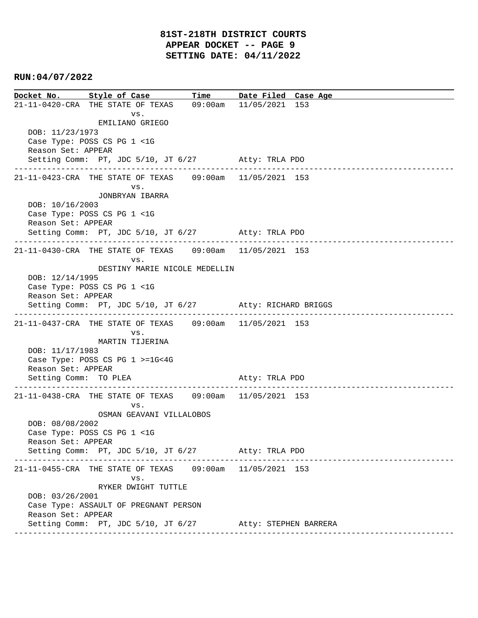**Docket No. Style of Case Time Date Filed Case Age**  21-11-0420-CRA THE STATE OF TEXAS 09:00am 11/05/2021 153 vs. EMILIANO GRIEGO DOB: 11/23/1973 Case Type: POSS CS PG 1 <1G Reason Set: APPEAR Setting Comm: PT, JDC 5/10, JT 6/27 Atty: TRLA PDO ---------------------------------------------------------------------------------------------- 21-11-0423-CRA THE STATE OF TEXAS 09:00am 11/05/2021 153 vs. JONBRYAN IBARRA DOB: 10/16/2003 Case Type: POSS CS PG 1 <1G Reason Set: APPEAR Setting Comm: PT, JDC 5/10, JT 6/27 Atty: TRLA PDO ---------------------------------------------------------------------------------------------- 21-11-0430-CRA THE STATE OF TEXAS 09:00am 11/05/2021 153 vs. DESTINY MARIE NICOLE MEDELLIN DOB: 12/14/1995 Case Type: POSS CS PG 1 <1G Reason Set: APPEAR Setting Comm: PT, JDC 5/10, JT 6/27 Atty: RICHARD BRIGGS ---------------------------------------------------------------------------------------------- 21-11-0437-CRA THE STATE OF TEXAS 09:00am 11/05/2021 153 vs. MARTIN TIJERINA DOB: 11/17/1983 Case Type: POSS CS PG 1 >=1G<4G Reason Set: APPEAR Setting Comm: TO PLEA Atty: TRLA PDO ---------------------------------------------------------------------------------------------- 21-11-0438-CRA THE STATE OF TEXAS 09:00am 11/05/2021 153 vs. OSMAN GEAVANI VILLALOBOS DOB: 08/08/2002 Case Type: POSS CS PG 1 <1G Reason Set: APPEAR Setting Comm: PT, JDC 5/10, JT 6/27 Atty: TRLA PDO ---------------------------------------------------------------------------------------------- 21-11-0455-CRA THE STATE OF TEXAS 09:00am 11/05/2021 153 vs. RYKER DWIGHT TUTTLE DOB: 03/26/2001 Case Type: ASSAULT OF PREGNANT PERSON Reason Set: APPEAR Setting Comm: PT, JDC 5/10, JT 6/27 Atty: STEPHEN BARRERA ----------------------------------------------------------------------------------------------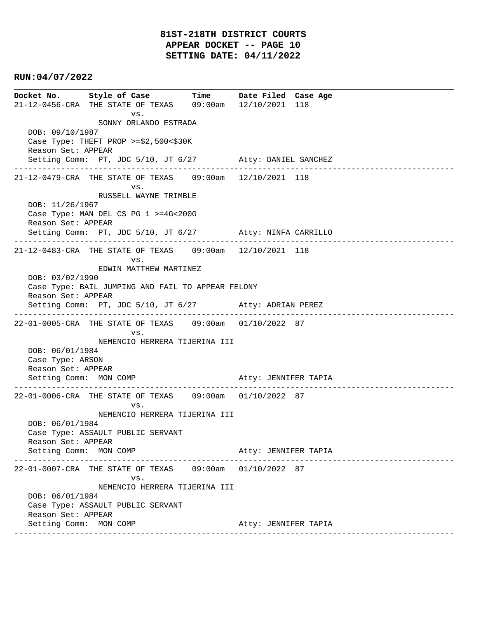**Docket No. Style of Case Time Date Filed Case Age**  21-12-0456-CRA THE STATE OF TEXAS 09:00am 12/10/2021 118 vs. SONNY ORLANDO ESTRADA DOB: 09/10/1987 Case Type: THEFT PROP >=\$2,500<\$30K Reason Set: APPEAR Setting Comm: PT, JDC 5/10, JT 6/27 Atty: DANIEL SANCHEZ ---------------------------------------------------------------------------------------------- 21-12-0479-CRA THE STATE OF TEXAS 09:00am 12/10/2021 118 vs. RUSSELL WAYNE TRIMBLE DOB: 11/26/1967 Case Type: MAN DEL CS PG 1 >=4G<200G Reason Set: APPEAR Setting Comm: PT, JDC 5/10, JT 6/27 Atty: NINFA CARRILLO ---------------------------------------------------------------------------------------------- 21-12-0483-CRA THE STATE OF TEXAS 09:00am 12/10/2021 118 vs. EDWIN MATTHEW MARTINEZ DOB: 03/02/1990 Case Type: BAIL JUMPING AND FAIL TO APPEAR FELONY Reason Set: APPEAR Setting Comm: PT, JDC 5/10, JT 6/27 Atty: ADRIAN PEREZ ---------------------------------------------------------------------------------------------- 22-01-0005-CRA THE STATE OF TEXAS 09:00am 01/10/2022 87 vs. NEMENCIO HERRERA TIJERINA III DOB: 06/01/1984 Case Type: ARSON Reason Set: APPEAR Setting Comm: MON COMP Atty: JENNIFER TAPIA ---------------------------------------------------------------------------------------------- 22-01-0006-CRA THE STATE OF TEXAS 09:00am 01/10/2022 87 vs. NEMENCIO HERRERA TIJERINA III DOB: 06/01/1984 Case Type: ASSAULT PUBLIC SERVANT Reason Set: APPEAR Setting Comm: MON COMP Atty: JENNIFER TAPIA ---------------------------------------------------------------------------------------------- 22-01-0007-CRA THE STATE OF TEXAS 09:00am 01/10/2022 87 vs. NEMENCIO HERRERA TIJERINA III DOB: 06/01/1984 Case Type: ASSAULT PUBLIC SERVANT Reason Set: APPEAR Setting Comm: MON COMP **Atty: JENNIFER TAPIA** ----------------------------------------------------------------------------------------------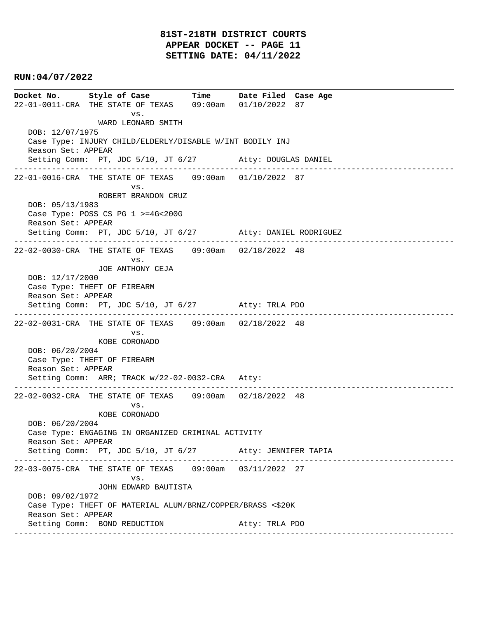# **81ST-218TH DISTRICT COURTS APPEAR DOCKET -- PAGE 11 SETTING DATE: 04/11/2022**

## **RUN:04/07/2022**

**Docket No. Style of Case Time Date Filed Case Age**  22-01-0011-CRA THE STATE OF TEXAS 09:00am 01/10/2022 87 vs. WARD LEONARD SMITH DOB: 12/07/1975 Case Type: INJURY CHILD/ELDERLY/DISABLE W/INT BODILY INJ Reason Set: APPEAR Setting Comm: PT, JDC 5/10, JT 6/27 Atty: DOUGLAS DANIEL ---------------------------------------------------------------------------------------------- 22-01-0016-CRA THE STATE OF TEXAS 09:00am 01/10/2022 87 vs. ROBERT BRANDON CRUZ DOB: 05/13/1983 Case Type: POSS CS PG 1 >=4G<200G Reason Set: APPEAR Setting Comm: PT, JDC 5/10, JT 6/27 Atty: DANIEL RODRIGUEZ ---------------------------------------------------------------------------------------------- 22-02-0030-CRA THE STATE OF TEXAS 09:00am 02/18/2022 48 vs. JOE ANTHONY CEJA DOB: 12/17/2000 Case Type: THEFT OF FIREARM Reason Set: APPEAR Setting Comm: PT, JDC 5/10, JT 6/27 Atty: TRLA PDO ---------------------------------------------------------------------------------------------- 22-02-0031-CRA THE STATE OF TEXAS 09:00am 02/18/2022 48 vs. KOBE CORONADO DOB: 06/20/2004 Case Type: THEFT OF FIREARM Reason Set: APPEAR Setting Comm: ARR; TRACK w/22-02-0032-CRA Atty: ---------------------------------------------------------------------------------------------- 22-02-0032-CRA THE STATE OF TEXAS 09:00am 02/18/2022 48 vs. KOBE CORONADO DOB: 06/20/2004 Case Type: ENGAGING IN ORGANIZED CRIMINAL ACTIVITY Reason Set: APPEAR Setting Comm: PT, JDC 5/10, JT 6/27 Atty: JENNIFER TAPIA ---------------------------------------------------------------------------------------------- 22-03-0075-CRA THE STATE OF TEXAS 09:00am 03/11/2022 27 vs. JOHN EDWARD BAUTISTA DOB: 09/02/1972 Case Type: THEFT OF MATERIAL ALUM/BRNZ/COPPER/BRASS <\$20K Reason Set: APPEAR Setting Comm: BOND REDUCTION Atty: TRLA PDO ----------------------------------------------------------------------------------------------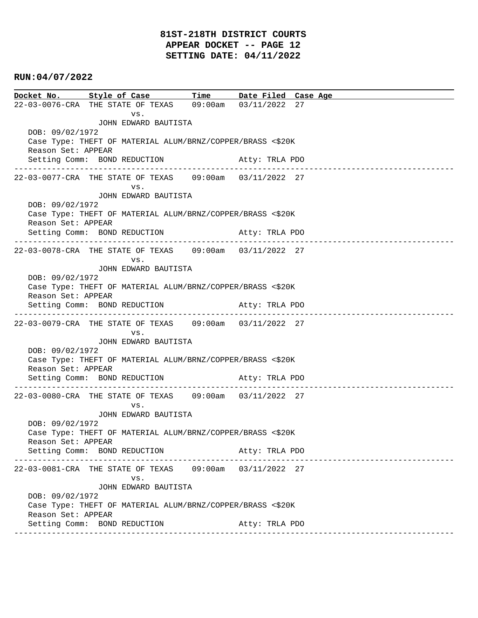# **81ST-218TH DISTRICT COURTS APPEAR DOCKET -- PAGE 12 SETTING DATE: 04/11/2022**

## **RUN:04/07/2022**

**Docket No. Style of Case Time Date Filed Case Age**  22-03-0076-CRA THE STATE OF TEXAS 09:00am 03/11/2022 27 vs. JOHN EDWARD BAUTISTA DOB: 09/02/1972 Case Type: THEFT OF MATERIAL ALUM/BRNZ/COPPER/BRASS <\$20K Reason Set: APPEAR Setting Comm: BOND REDUCTION **Atty: TRLA PDO** ---------------------------------------------------------------------------------------------- 22-03-0077-CRA THE STATE OF TEXAS 09:00am 03/11/2022 27 vs. JOHN EDWARD BAUTISTA DOB: 09/02/1972 Case Type: THEFT OF MATERIAL ALUM/BRNZ/COPPER/BRASS <\$20K Reason Set: APPEAR Setting Comm: BOND REDUCTION Atty: TRLA PDO ---------------------------------------------------------------------------------------------- 22-03-0078-CRA THE STATE OF TEXAS 09:00am 03/11/2022 27 vs. JOHN EDWARD BAUTISTA DOB: 09/02/1972 Case Type: THEFT OF MATERIAL ALUM/BRNZ/COPPER/BRASS <\$20K Reason Set: APPEAR Setting Comm: BOND REDUCTION Atty: TRLA PDO ---------------------------------------------------------------------------------------------- 22-03-0079-CRA THE STATE OF TEXAS 09:00am 03/11/2022 27 vs. JOHN EDWARD BAUTISTA DOB: 09/02/1972 Case Type: THEFT OF MATERIAL ALUM/BRNZ/COPPER/BRASS <\$20K Reason Set: APPEAR Setting Comm: BOND REDUCTION Atty: TRLA PDO ---------------------------------------------------------------------------------------------- 22-03-0080-CRA THE STATE OF TEXAS 09:00am 03/11/2022 27 vs. JOHN EDWARD BAUTISTA DOB: 09/02/1972 Case Type: THEFT OF MATERIAL ALUM/BRNZ/COPPER/BRASS <\$20K Reason Set: APPEAR Setting Comm: BOND REDUCTION Atty: TRLA PDO ---------------------------------------------------------------------------------------------- 22-03-0081-CRA THE STATE OF TEXAS 09:00am 03/11/2022 27 vs. JOHN EDWARD BAUTISTA DOB: 09/02/1972 Case Type: THEFT OF MATERIAL ALUM/BRNZ/COPPER/BRASS <\$20K Reason Set: APPEAR Setting Comm: BOND REDUCTION Atty: TRLA PDO ----------------------------------------------------------------------------------------------